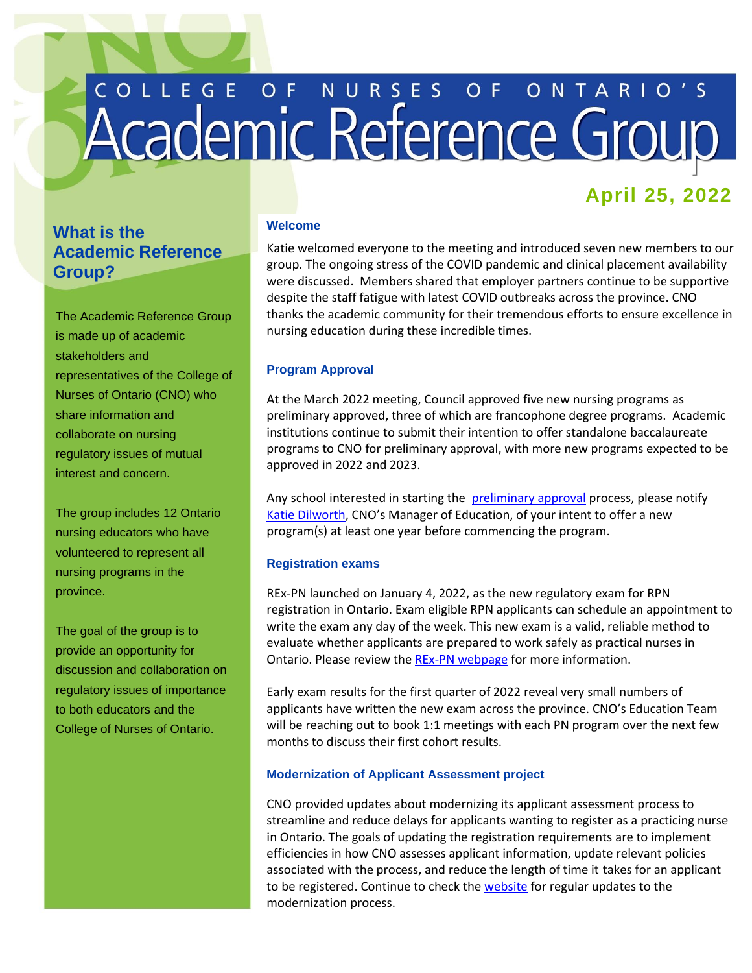# COLLEGE OF NURSES OF ONTARIO'S

# **April 25, 2022**

# **What is the Academic Reference Group?**

The Academic Reference Group is made up of academic stakeholders and representatives of the College of Nurses of Ontario (CNO) who share information and collaborate on nursing regulatory issues of mutual interest and concern.

The group includes 12 Ontario nursing educators who have volunteered to represent all nursing programs in the province.

The goal of the group is to provide an opportunity for discussion and collaboration on regulatory issues of importance to both educators and the College of Nurses of Ontario.

# **Welcome**

Katie welcomed everyone to the meeting and introduced seven new members to our group. The ongoing stress of the COVID pandemic and clinical placement availability were discussed. Members shared that employer partners continue to be supportive despite the staff fatigue with latest COVID outbreaks across the province. CNO thanks the academic community for their tremendous efforts to ensure excellence in nursing education during these incredible times.

# **Program Approval**

At the March 2022 meeting, Council approved five new nursing programs as preliminary approved, three of which are francophone degree programs. Academic institutions continue to submit their intention to offer standalone baccalaureate programs to CNO for preliminary approval, with more new programs expected to be approved in 2022 and 2023.

Any school interested in starting the [preliminary approval](https://www.cno.org/en/become-a-nurse/nursing-education-program-approval/) process, please notify Katie Dilworth, CNO's Manager of Education, of your intent to offer a new program(s) at least one year before commencing the program.

## **Registration exams**

REx-PN launched on January 4, 2022, as the new regulatory exam for RPN registration in Ontario. Exam eligible RPN applicants can schedule an appointment to write the exam any day of the week. This new exam is a valid, reliable method to evaluate whether applicants are prepared to work safely as practical nurses in Ontario. Please review the REx-PN [webpage](https://www.cno.org/en/trending-topics/updating-rpn-competencies-and-exam/) for more information.

Early exam results for the first quarter of 2022 reveal very small numbers of applicants have written the new exam across the province. CNO's Education Team will be reaching out to book 1:1 meetings with each PN program over the next few months to discuss their first cohort results.

## **Modernization of Applicant Assessment project**

CNO provided updates about modernizing its applicant assessment process to streamline and reduce delays for applicants wanting to register as a practicing nurse in Ontario. The goals of updating the registration requirements are to implement efficiencies in how CNO assesses applicant information, update relevant policies associated with the process, and reduce the length of time it takes for an applicant to be registered. Continue to check the [website](https://www.cno.org/en/trending-topics/modernizing-applicant-assessment/) for regular updates to the modernization process.